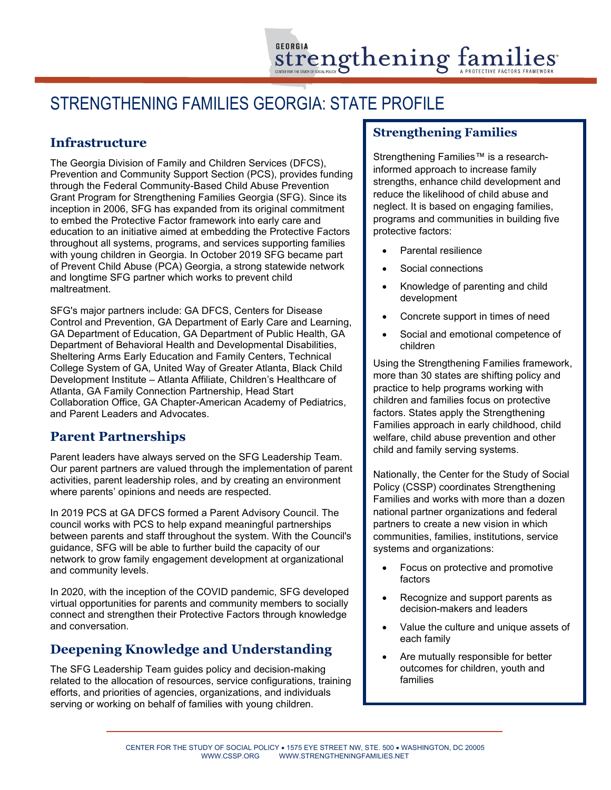# STRENGTHENING FAMILIES GEORGIA: STATE PROFILE

### **Infrastructure**

The Georgia Division of Family and Children Services (DFCS), Prevention and Community Support Section (PCS), provides funding through the Federal Community-Based Child Abuse Prevention Grant Program for Strengthening Families Georgia (SFG). Since its inception in 2006, SFG has expanded from its original commitment to embed the Protective Factor framework into early care and education to an initiative aimed at embedding the Protective Factors throughout all systems, programs, and services supporting families with young children in Georgia. In October 2019 SFG became part of Prevent Child Abuse (PCA) Georgia, a strong statewide network and longtime SFG partner which works to prevent child maltreatment.

SFG's major partners include: GA DFCS, Centers for Disease Control and Prevention, GA Department of Early Care and Learning, GA Department of Education, GA Department of Public Health, GA Department of Behavioral Health and Developmental Disabilities, Sheltering Arms Early Education and Family Centers, Technical College System of GA, United Way of Greater Atlanta, Black Child Development Institute – Atlanta Affiliate, Children's Healthcare of Atlanta, GA Family Connection Partnership, Head Start Collaboration Office, GA Chapter-American Academy of Pediatrics, and Parent Leaders and Advocates.

### **Parent Partnerships**

Parent leaders have always served on the SFG Leadership Team. Our parent partners are valued through the implementation of parent activities, parent leadership roles, and by creating an environment where parents' opinions and needs are respected.

In 2019 PCS at GA DFCS formed a Parent Advisory Council. The council works with PCS to help expand meaningful partnerships between parents and staff throughout the system. With the Council's guidance, SFG will be able to further build the capacity of our network to grow family engagement development at organizational and community levels.

In 2020, with the inception of the COVID pandemic, SFG developed virtual opportunities for parents and community members to socially connect and strengthen their Protective Factors through knowledge and conversation.

### **Deepening Knowledge and Understanding**

The SFG Leadership Team guides policy and decision-making related to the allocation of resources, service configurations, training efforts, and priorities of agencies, organizations, and individuals serving or working on behalf of families with young children.

### **Strengthening Families**

Strengthening Families™ is a researchinformed approach to increase family strengths, enhance child development and reduce the likelihood of child abuse and neglect. It is based on engaging families, programs and communities in building five protective factors:

- Parental resilience
- Social connections
- Knowledge of parenting and child development
- Concrete support in times of need
- Social and emotional competence of children

Using the Strengthening Families framework, more than 30 states are shifting policy and practice to help programs working with children and families focus on protective factors. States apply the Strengthening Families approach in early childhood, child welfare, child abuse prevention and other child and family serving systems.

Nationally, the Center for the Study of Social Policy (CSSP) coordinates Strengthening Families and works with more than a dozen national partner organizations and federal partners to create a new vision in which communities, families, institutions, service systems and organizations:

- Focus on protective and promotive factors
- Recognize and support parents as decision-makers and leaders
- Value the culture and unique assets of each family
- Are mutually responsible for better outcomes for children, youth and families